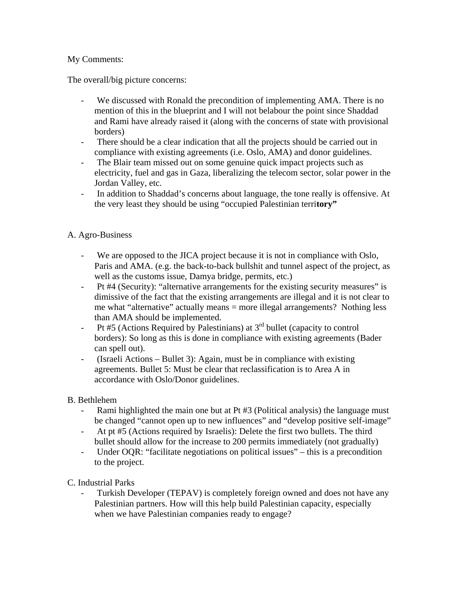# My Comments:

The overall/big picture concerns:

- We discussed with Ronald the precondition of implementing AMA. There is no mention of this in the blueprint and I will not belabour the point since Shaddad and Rami have already raised it (along with the concerns of state with provisional borders)
- There should be a clear indication that all the projects should be carried out in compliance with existing agreements (i.e. Oslo, AMA) and donor guidelines.
- The Blair team missed out on some genuine quick impact projects such as electricity, fuel and gas in Gaza, liberalizing the telecom sector, solar power in the Jordan Valley, etc.
- In addition to Shaddad's concerns about language, the tone really is offensive. At the very least they should be using "occupied Palestinian terri**tory"**

### A. Agro-Business

- We are opposed to the JICA project because it is not in compliance with Oslo, Paris and AMA. (e.g. the back-to-back bullshit and tunnel aspect of the project, as well as the customs issue, Damya bridge, permits, etc.)
- Pt #4 (Security): "alternative arrangements for the existing security measures" is dimissive of the fact that the existing arrangements are illegal and it is not clear to me what "alternative" actually means = more illegal arrangements? Nothing less than AMA should be implemented.
- Pt #5 (Actions Required by Palestinians) at  $3<sup>rd</sup>$  bullet (capacity to control borders): So long as this is done in compliance with existing agreements (Bader can spell out).
- (Israeli Actions Bullet 3): Again, must be in compliance with existing agreements. Bullet 5: Must be clear that reclassification is to Area A in accordance with Oslo/Donor guidelines.

#### B. Bethlehem

- Rami highlighted the main one but at Pt #3 (Political analysis) the language must be changed "cannot open up to new influences" and "develop positive self-image"
- At pt #5 (Actions required by Israelis): Delete the first two bullets. The third bullet should allow for the increase to 200 permits immediately (not gradually)
- Under OQR: "facilitate negotiations on political issues" this is a precondition to the project.

#### C. Industrial Parks

Turkish Developer (TEPAV) is completely foreign owned and does not have any Palestinian partners. How will this help build Palestinian capacity, especially when we have Palestinian companies ready to engage?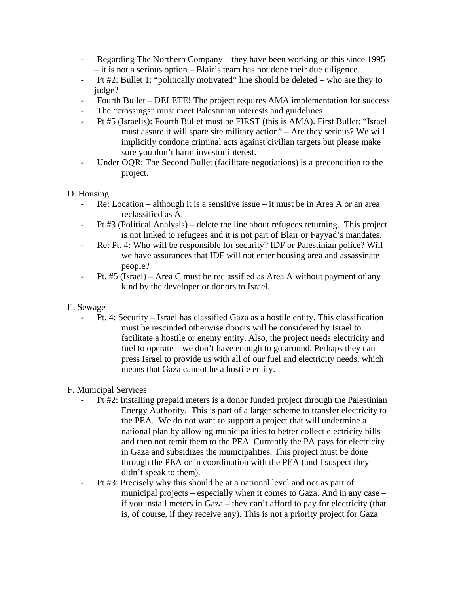- Regarding The Northern Company they have been working on this since 1995 – it is not a serious option – Blair's team has not done their due diligence.
- Pt #2: Bullet 1: "politically motivated" line should be deleted who are they to judge?
- Fourth Bullet DELETE! The project requires AMA implementation for success
- The "crossings" must meet Palestinian interests and guidelines
- Pt #5 (Israelis): Fourth Bullet must be FIRST (this is AMA). First Bullet: "Israel must assure it will spare site military action" – Are they serious? We will implicitly condone criminal acts against civilian targets but please make sure you don't harm investor interest.
- Under OQR: The Second Bullet (facilitate negotiations) is a precondition to the project.

#### D. Housing

- Re: Location although it is a sensitive issue it must be in Area A or an area reclassified as A.
- Pt #3 (Political Analysis) delete the line about refugees returning. This project is not linked to refugees and it is not part of Blair or Fayyad's mandates.
- Re: Pt. 4: Who will be responsible for security? IDF or Palestinian police? Will we have assurances that IDF will not enter housing area and assassinate people?
- Pt. #5 (Israel) Area C must be reclassified as Area A without payment of any kind by the developer or donors to Israel.
- E. Sewage
	- Pt. 4: Security Israel has classified Gaza as a hostile entity. This classification must be rescinded otherwise donors will be considered by Israel to facilitate a hostile or enemy entity. Also, the project needs electricity and fuel to operate – we don't have enough to go around. Perhaps they can press Israel to provide us with all of our fuel and electricity needs, which means that Gaza cannot be a hostile entity.

# F. Municipal Services

- Pt #2: Installing prepaid meters is a donor funded project through the Palestinian Energy Authority. This is part of a larger scheme to transfer electricity to the PEA. We do not want to support a project that will undermine a national plan by allowing municipalities to better collect electricity bills and then not remit them to the PEA. Currently the PA pays for electricity in Gaza and subsidizes the municipalities. This project must be done through the PEA or in coordination with the PEA (and I suspect they didn't speak to them).
- Pt #3: Precisely why this should be at a national level and not as part of municipal projects – especially when it comes to Gaza. And in any case – if you install meters in Gaza – they can't afford to pay for electricity (that is, of course, if they receive any). This is not a priority project for Gaza